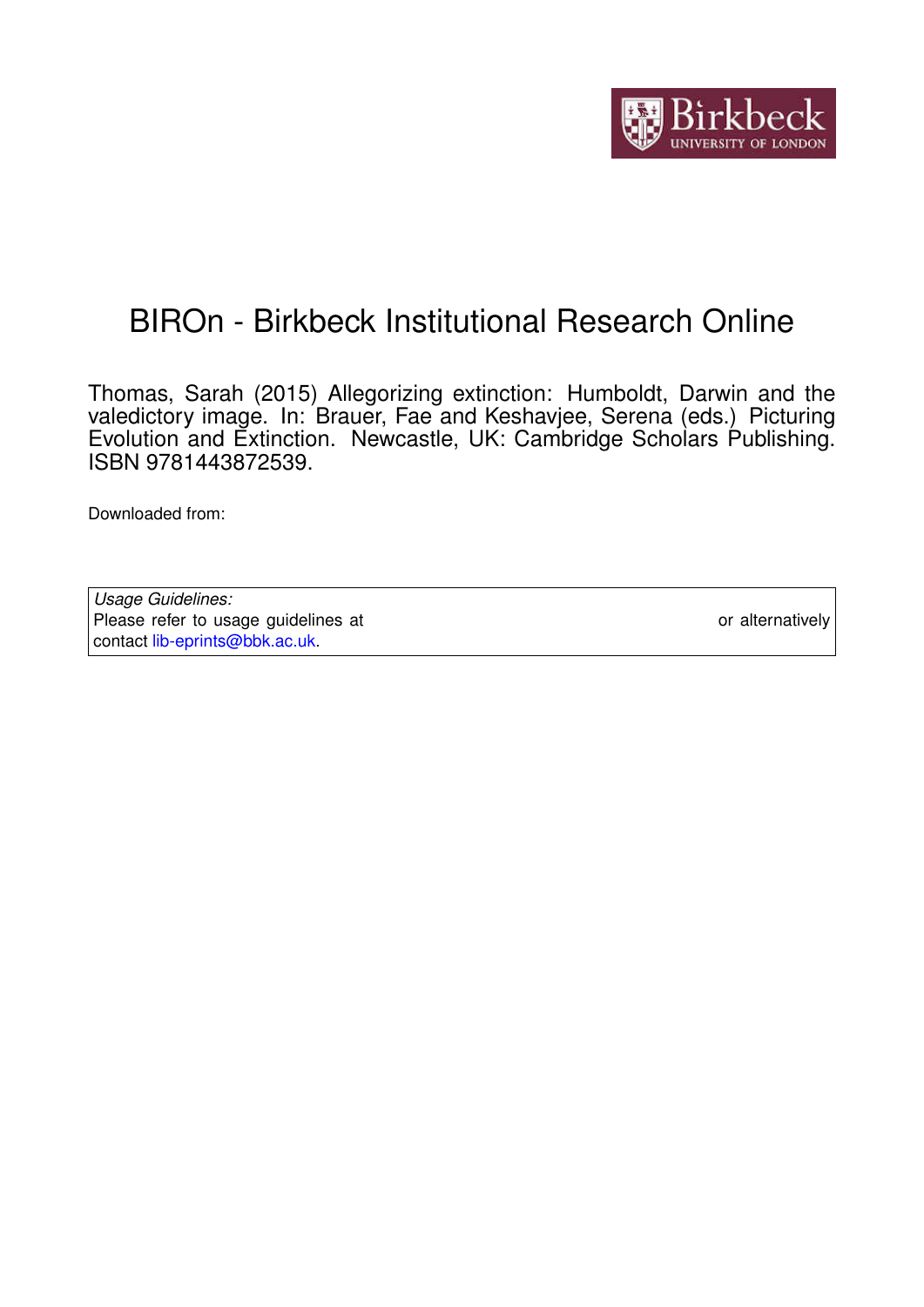

# BIROn - Birkbeck Institutional Research Online

Thomas, Sarah (2015) Allegorizing extinction: Humboldt, Darwin and the valedictory image. In: Brauer, Fae and Keshavjee, Serena (eds.) Picturing Evolution and Extinction. Newcastle, UK: Cambridge Scholars Publishing. ISBN 9781443872539.

Downloaded from: <https://eprints.bbk.ac.uk/id/eprint/9975/>

| Usage Guidelines:                                                           |                  |
|-----------------------------------------------------------------------------|------------------|
| Please refer to usage guidelines at https://eprints.bbk.ac.uk/policies.html | or alternatively |
| contact lib-eprints@bbk.ac.uk.                                              |                  |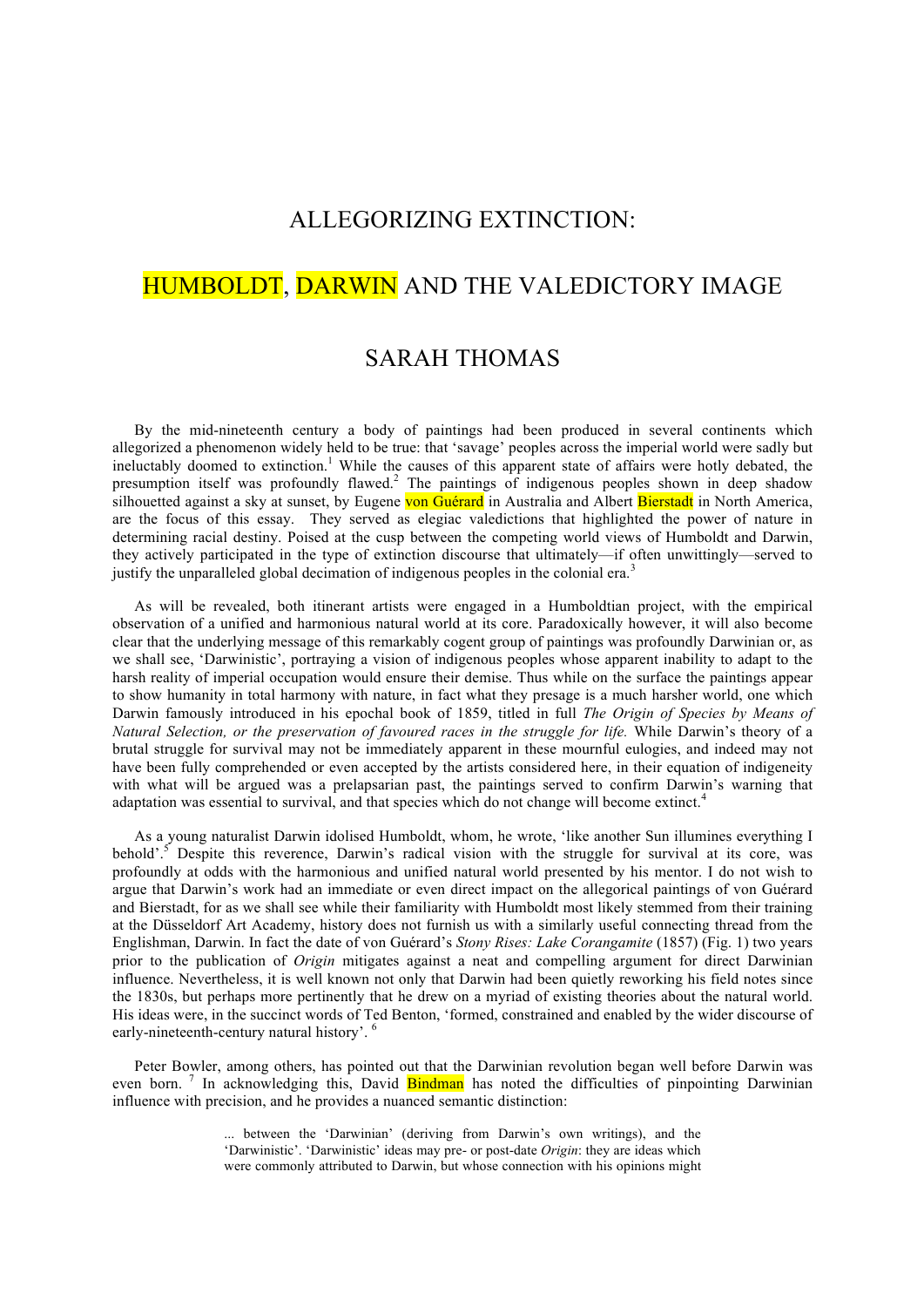### ALLEGORIZING EXTINCTION:

## HUMBOLDT, DARWIN AND THE VALEDICTORY IMAGE

### SARAH THOMAS

By the mid-nineteenth century a body of paintings had been produced in several continents which allegorized a phenomenon widely held to be true: that 'savage' peoples across the imperial world were sadly but ineluctably doomed to extinction. <sup>1</sup> While the causes of this apparent state of affairs were hotly debated, the presumption itself was profoundly flawed. <sup>2</sup> The paintings of indigenous peoples shown in deep shadow silhouetted against a sky at sunset, by Eugene von Guérard in Australia and Albert Bierstadt in North America, are the focus of this essay. They served as elegiac valedictions that highlighted the power of nature in determining racial destiny. Poised at the cusp between the competing world views of Humboldt and Darwin, they actively participated in the type of extinction discourse that ultimately—if often unwittingly—served to justify the unparalleled global decimation of indigenous peoples in the colonial era.<sup>3</sup>

As will be revealed, both itinerant artists were engaged in a Humboldtian project, with the empirical observation of a unified and harmonious natural world at its core. Paradoxically however, it will also become clear that the underlying message of this remarkably cogent group of paintings was profoundly Darwinian or, as we shall see, 'Darwinistic', portraying a vision of indigenous peoples whose apparent inability to adapt to the harsh reality of imperial occupation would ensure their demise. Thus while on the surface the paintings appear to show humanity in total harmony with nature, in fact what they presage is a much harsher world, one which Darwin famously introduced in his epochal book of 1859, titled in full *The Origin of Species by Means of Natural Selection, or the preservation of favoured races in the struggle for life.* While Darwin's theory of a brutal struggle for survival may not be immediately apparent in these mournful eulogies, and indeed may not have been fully comprehended or even accepted by the artists considered here, in their equation of indigeneity with what will be argued was a prelapsarian past, the paintings served to confirm Darwin's warning that adaptation was essential to survival, and that species which do not change will become extinct.<sup>4</sup>

As a young naturalist Darwin idolised Humboldt, whom, he wrote, 'like another Sun illumines everything I behold'.<sup>5</sup> Despite this reverence, Darwin's radical vision with the struggle for survival at its core, was profoundly at odds with the harmonious and unified natural world presented by his mentor. I do not wish to argue that Darwin's work had an immediate or even direct impact on the allegorical paintings of von Guérard and Bierstadt, for as we shall see while their familiarity with Humboldt most likely stemmed from their training at the Düsseldorf Art Academy, history does not furnish us with a similarly useful connecting thread from the Englishman, Darwin. In fact the date of von Guérard's *Stony Rises: Lake Corangamite* (1857) (Fig. 1) two years prior to the publication of *Origin* mitigates against a neat and compelling argument for direct Darwinian influence. Nevertheless, it is well known not only that Darwin had been quietly reworking his field notes since the 1830s, but perhaps more pertinently that he drew on a myriad of existing theories about the natural world. His ideas were, in the succinct words of Ted Benton, 'formed, constrained and enabled by the wider discourse of early-nineteenth-century natural history'. <sup>6</sup>

Peter Bowler, among others, has pointed out that the Darwinian revolution began well before Darwin was even born.<sup>7</sup> In acknowledging this, David **Bindman** has noted the difficulties of pinpointing Darwinian influence with precision, and he provides a nuanced semantic distinction:

> ... between the 'Darwinian' (deriving from Darwin's own writings), and the 'Darwinistic'. 'Darwinistic' ideas may pre- or post-date *Origin*: they are ideas which were commonly attributed to Darwin, but whose connection with his opinions might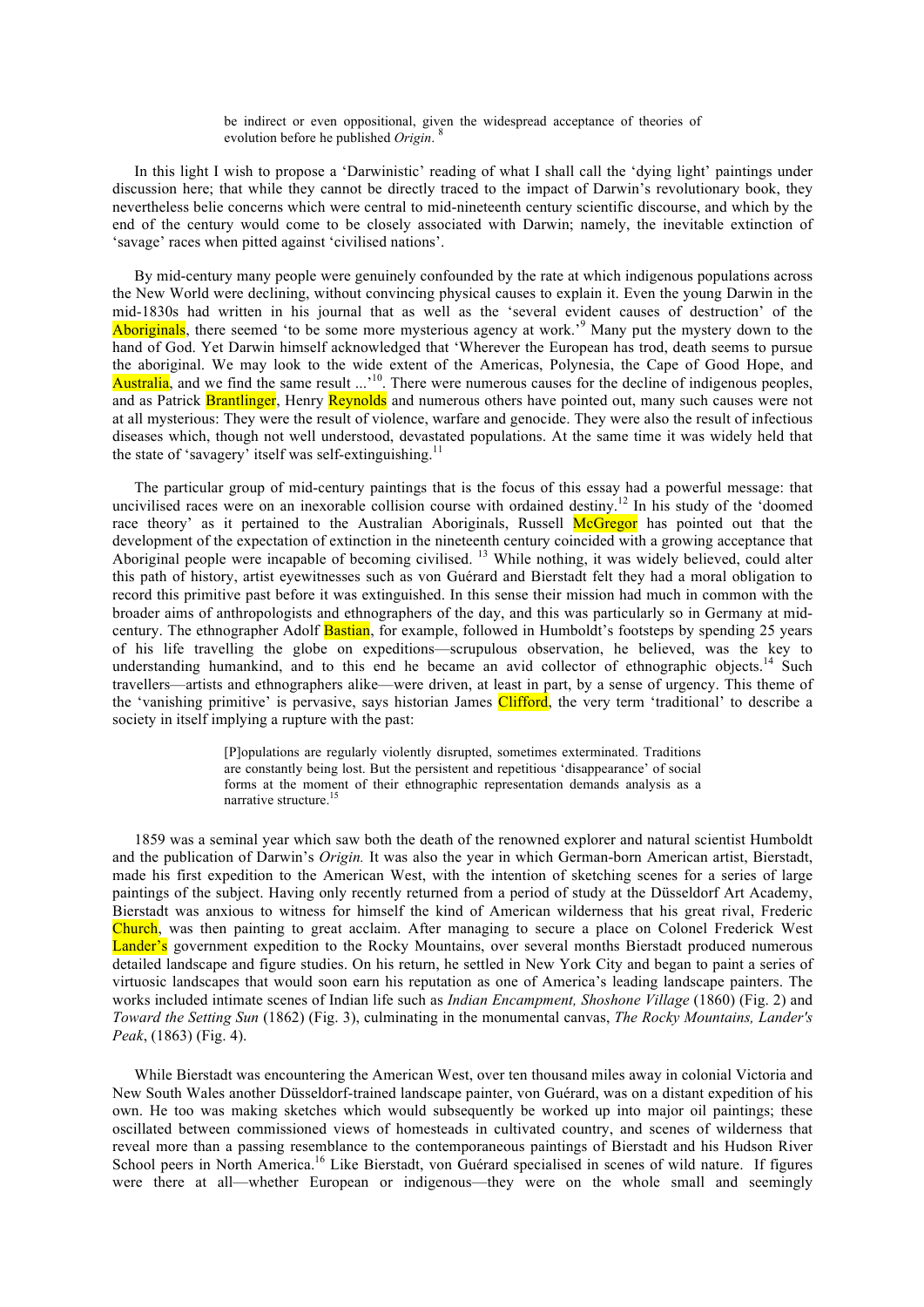be indirect or even oppositional, given the widespread acceptance of theories of evolution before he published *Origin*. 8

In this light I wish to propose a 'Darwinistic' reading of what I shall call the 'dying light' paintings under discussion here; that while they cannot be directly traced to the impact of Darwin's revolutionary book, they nevertheless belie concerns which were central to mid-nineteenth century scientific discourse, and which by the end of the century would come to be closely associated with Darwin; namely, the inevitable extinction of 'savage' races when pitted against 'civilised nations'.

By mid-century many people were genuinely confounded by the rate at which indigenous populations across the New World were declining, without convincing physical causes to explain it. Even the young Darwin in the mid-1830s had written in his journal that as well as the 'several evident causes of destruction' of the Aboriginals, there seemed 'to be some more mysterious agency at work.<sup>'9</sup> Many put the mystery down to the hand of God. Yet Darwin himself acknowledged that 'Wherever the European has trod, death seems to pursue the aboriginal. We may look to the wide extent of the Americas, Polynesia, the Cape of Good Hope, and Australia, and we find the same result ...<sup>10</sup>. There were numerous causes for the decline of indigenous peoples, and as Patrick Brantlinger, Henry Reynolds and numerous others have pointed out, many such causes were not at all mysterious: They were the result of violence, warfare and genocide. They were also the result of infectious diseases which, though not well understood, devastated populations. At the same time it was widely held that the state of 'savagery' itself was self-extinguishing.<sup>11</sup>

The particular group of mid-century paintings that is the focus of this essay had a powerful message: that uncivilised races were on an inexorable collision course with ordained destiny.<sup>12</sup> In his study of the 'doomed race theory' as it pertained to the Australian Aboriginals, Russell McGregor has pointed out that the development of the expectation of extinction in the nineteenth century coincided with a growing acceptance that Aboriginal people were incapable of becoming civilised. <sup>13</sup> While nothing, it was widely believed, could alter this path of history, artist eyewitnesses such as von Guérard and Bierstadt felt they had a moral obligation to record this primitive past before it was extinguished. In this sense their mission had much in common with the broader aims of anthropologists and ethnographers of the day, and this was particularly so in Germany at midcentury. The ethnographer Adolf **Bastian**, for example, followed in Humboldt's footsteps by spending 25 years of his life travelling the globe on expeditions—scrupulous observation, he believed, was the key to understanding humankind, and to this end he became an avid collector of ethnographic objects.<sup>14</sup> Such travellers—artists and ethnographers alike—were driven, at least in part, by a sense of urgency. This theme of the 'vanishing primitive' is pervasive, says historian James Clifford, the very term 'traditional' to describe a society in itself implying a rupture with the past:

> [P]opulations are regularly violently disrupted, sometimes exterminated. Traditions are constantly being lost. But the persistent and repetitious 'disappearance' of social forms at the moment of their ethnographic representation demands analysis as a narrative structure.<sup>15</sup>

1859 was a seminal year which saw both the death of the renowned explorer and natural scientist Humboldt and the publication of Darwin's *Origin.* It was also the year in which German-born American artist, Bierstadt, made his first expedition to the American West, with the intention of sketching scenes for a series of large paintings of the subject. Having only recently returned from a period of study at the Düsseldorf Art Academy, Bierstadt was anxious to witness for himself the kind of American wilderness that his great rival, Frederic Church, was then painting to great acclaim. After managing to secure a place on Colonel Frederick West Lander's government expedition to the Rocky Mountains, over several months Bierstadt produced numerous detailed landscape and figure studies. On his return, he settled in New York City and began to paint a series of virtuosic landscapes that would soon earn his reputation as one of America's leading landscape painters. The works included intimate scenes of Indian life such as *Indian Encampment, Shoshone Village* (1860) (Fig. 2) and *Toward the Setting Sun* (1862) (Fig. 3), culminating in the monumental canvas, *The Rocky Mountains, Lander's Peak*, (1863) (Fig. 4).

While Bierstadt was encountering the American West, over ten thousand miles away in colonial Victoria and New South Wales another Düsseldorf-trained landscape painter, von Guérard, was on a distant expedition of his own. He too was making sketches which would subsequently be worked up into major oil paintings; these oscillated between commissioned views of homesteads in cultivated country, and scenes of wilderness that reveal more than a passing resemblance to the contemporaneous paintings of Bierstadt and his Hudson River School peers in North America.16 Like Bierstadt, von Guérard specialised in scenes of wild nature. If figures were there at all—whether European or indigenous—they were on the whole small and seemingly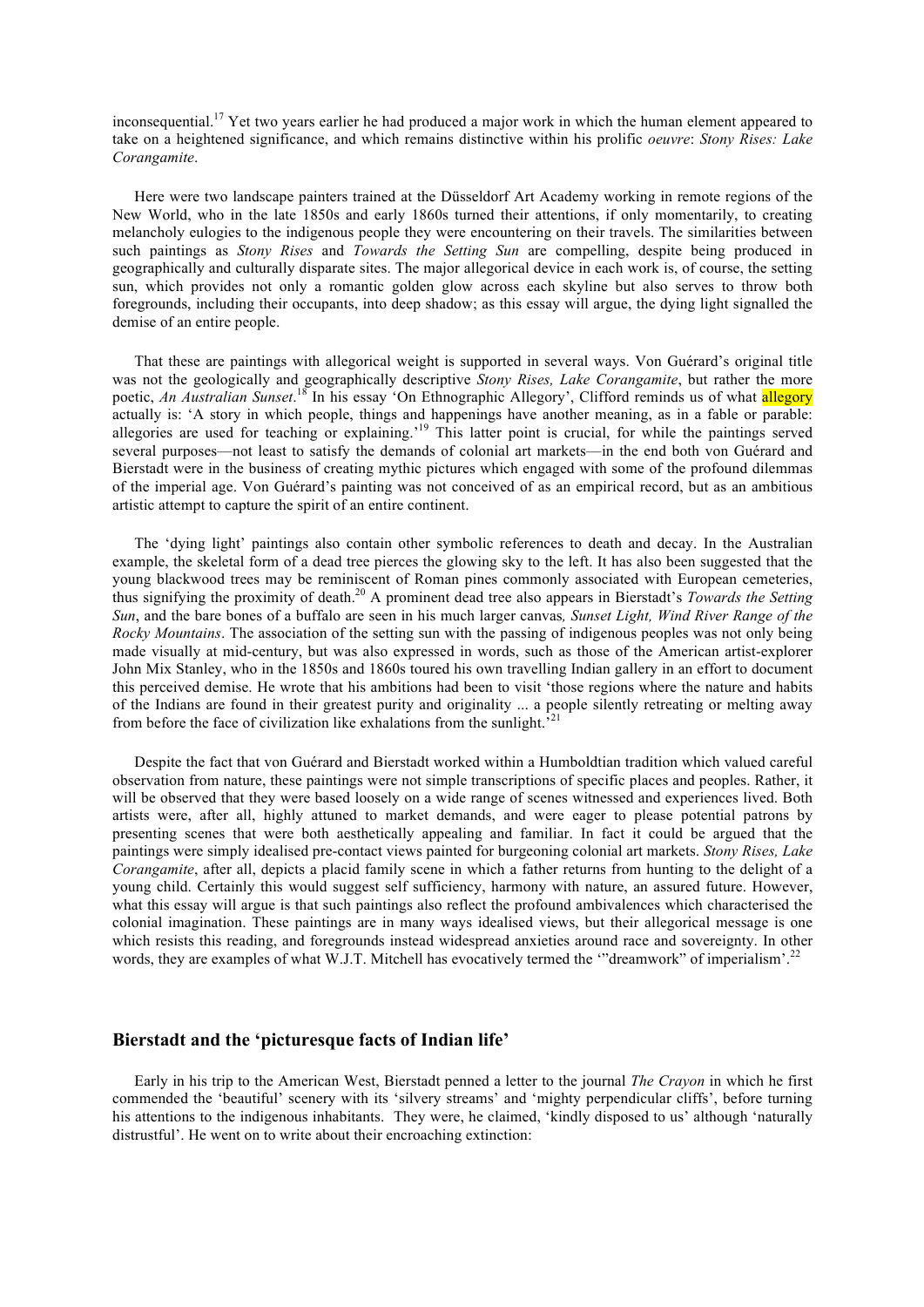inconsequential.<sup>17</sup> Yet two years earlier he had produced a major work in which the human element appeared to take on a heightened significance, and which remains distinctive within his prolific *oeuvre*: *Stony Rises: Lake Corangamite*.

Here were two landscape painters trained at the Düsseldorf Art Academy working in remote regions of the New World, who in the late 1850s and early 1860s turned their attentions, if only momentarily, to creating melancholy eulogies to the indigenous people they were encountering on their travels. The similarities between such paintings as *Stony Rises* and *Towards the Setting Sun* are compelling, despite being produced in geographically and culturally disparate sites. The major allegorical device in each work is, of course, the setting sun, which provides not only a romantic golden glow across each skyline but also serves to throw both foregrounds, including their occupants, into deep shadow; as this essay will argue, the dying light signalled the demise of an entire people.

That these are paintings with allegorical weight is supported in several ways. Von Guérard's original title was not the geologically and geographically descriptive *Stony Rises, Lake Corangamite*, but rather the more poetic, *An Australian Sunset*.<sup>18</sup> In his essay 'On Ethnographic Allegory', Clifford reminds us of what allegory actually is: 'A story in which people, things and happenings have another meaning, as in a fable or parable: allegories are used for teaching or explaining.'<sup>19</sup> This latter point is crucial, for while the paintings served several purposes—not least to satisfy the demands of colonial art markets—in the end both von Guérard and Bierstadt were in the business of creating mythic pictures which engaged with some of the profound dilemmas of the imperial age. Von Guérard's painting was not conceived of as an empirical record, but as an ambitious artistic attempt to capture the spirit of an entire continent.

The 'dying light' paintings also contain other symbolic references to death and decay. In the Australian example, the skeletal form of a dead tree pierces the glowing sky to the left. It has also been suggested that the young blackwood trees may be reminiscent of Roman pines commonly associated with European cemeteries, thus signifying the proximity of death.20 A prominent dead tree also appears in Bierstadt's *Towards the Setting Sun*, and the bare bones of a buffalo are seen in his much larger canvas*, Sunset Light, Wind River Range of the Rocky Mountains*. The association of the setting sun with the passing of indigenous peoples was not only being made visually at mid-century, but was also expressed in words, such as those of the American artist-explorer John Mix Stanley, who in the 1850s and 1860s toured his own travelling Indian gallery in an effort to document this perceived demise. He wrote that his ambitions had been to visit 'those regions where the nature and habits of the Indians are found in their greatest purity and originality ... a people silently retreating or melting away from before the face of civilization like exhalations from the sunlight.<sup>521</sup>

Despite the fact that von Guérard and Bierstadt worked within a Humboldtian tradition which valued careful observation from nature, these paintings were not simple transcriptions of specific places and peoples. Rather, it will be observed that they were based loosely on a wide range of scenes witnessed and experiences lived. Both artists were, after all, highly attuned to market demands, and were eager to please potential patrons by presenting scenes that were both aesthetically appealing and familiar. In fact it could be argued that the paintings were simply idealised pre-contact views painted for burgeoning colonial art markets. *Stony Rises, Lake Corangamite*, after all, depicts a placid family scene in which a father returns from hunting to the delight of a young child. Certainly this would suggest self sufficiency, harmony with nature, an assured future. However, what this essay will argue is that such paintings also reflect the profound ambivalences which characterised the colonial imagination. These paintings are in many ways idealised views, but their allegorical message is one which resists this reading, and foregrounds instead widespread anxieties around race and sovereignty. In other words, they are examples of what W.J.T. Mitchell has evocatively termed the "dreamwork" of imperialism'.<sup>2</sup>

#### **Bierstadt and the 'picturesque facts of Indian life'**

Early in his trip to the American West, Bierstadt penned a letter to the journal *The Crayon* in which he first commended the 'beautiful' scenery with its 'silvery streams' and 'mighty perpendicular cliffs', before turning his attentions to the indigenous inhabitants. They were, he claimed, 'kindly disposed to us' although 'naturally distrustful'. He went on to write about their encroaching extinction: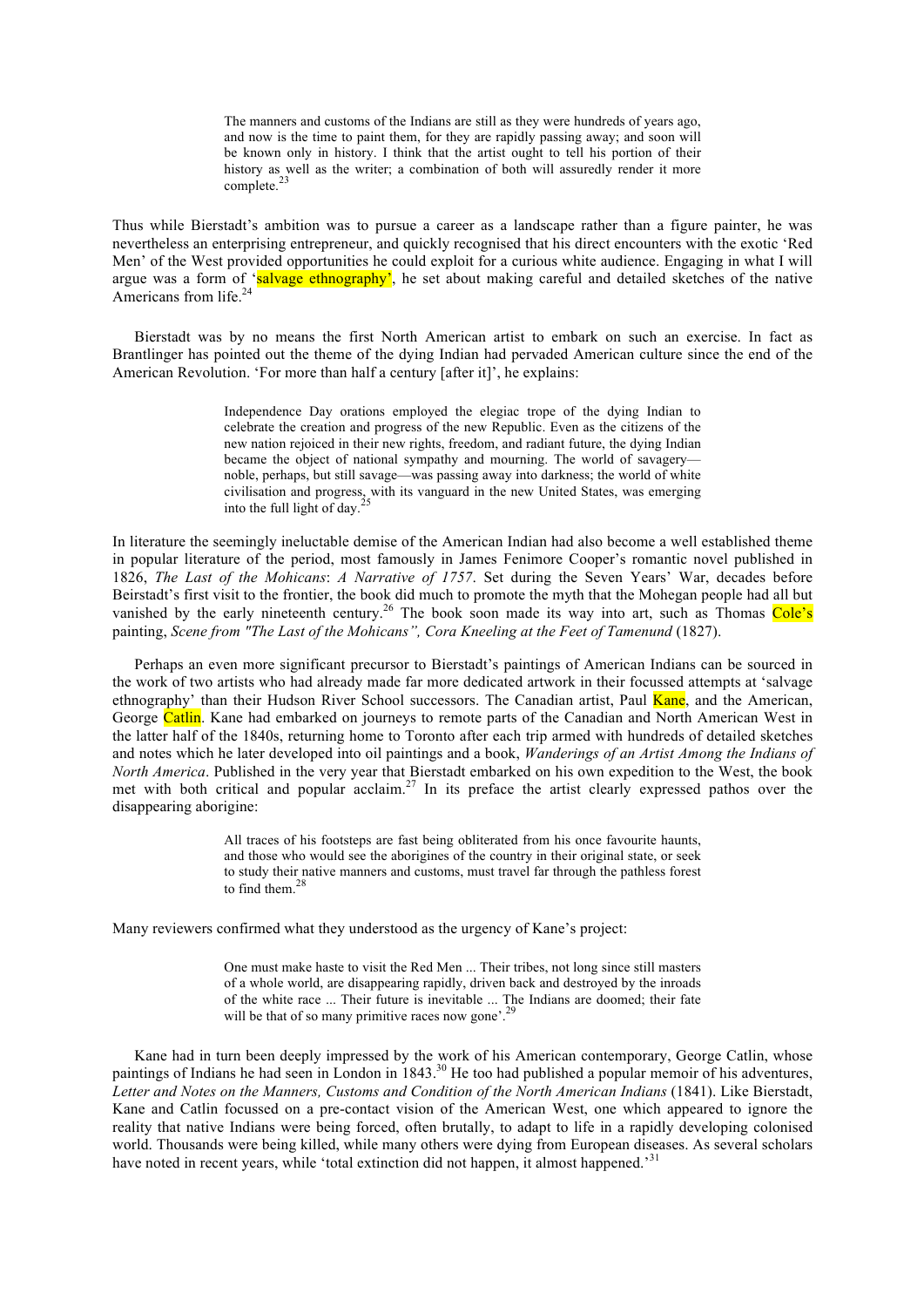The manners and customs of the Indians are still as they were hundreds of years ago, and now is the time to paint them, for they are rapidly passing away; and soon will be known only in history. I think that the artist ought to tell his portion of their history as well as the writer; a combination of both will assuredly render it more complete.<sup>23</sup>

Thus while Bierstadt's ambition was to pursue a career as a landscape rather than a figure painter, he was nevertheless an enterprising entrepreneur, and quickly recognised that his direct encounters with the exotic 'Red Men' of the West provided opportunities he could exploit for a curious white audience. Engaging in what I will argue was a form of 'salvage ethnography', he set about making careful and detailed sketches of the native Americans from life.<sup>24</sup>

Bierstadt was by no means the first North American artist to embark on such an exercise. In fact as Brantlinger has pointed out the theme of the dying Indian had pervaded American culture since the end of the American Revolution. 'For more than half a century [after it]', he explains:

> Independence Day orations employed the elegiac trope of the dying Indian to celebrate the creation and progress of the new Republic. Even as the citizens of the new nation rejoiced in their new rights, freedom, and radiant future, the dying Indian became the object of national sympathy and mourning. The world of savagery noble, perhaps, but still savage—was passing away into darkness; the world of white civilisation and progress, with its vanguard in the new United States, was emerging into the full light of day  $25$ into the full light of day.

In literature the seemingly ineluctable demise of the American Indian had also become a well established theme in popular literature of the period, most famously in James Fenimore Cooper's romantic novel published in 1826, *The Last of the Mohicans*: *A Narrative of 1757*. Set during the Seven Years' War, decades before Beirstadt's first visit to the frontier, the book did much to promote the myth that the Mohegan people had all but vanished by the early nineteenth century.<sup>26</sup> The book soon made its way into art, such as Thomas Cole's painting, *Scene from "The Last of the Mohicans", Cora Kneeling at the Feet of Tamenund* (1827).

Perhaps an even more significant precursor to Bierstadt's paintings of American Indians can be sourced in the work of two artists who had already made far more dedicated artwork in their focussed attempts at 'salvage ethnography' than their Hudson River School successors. The Canadian artist, Paul Kane, and the American, George Catlin. Kane had embarked on journeys to remote parts of the Canadian and North American West in the latter half of the 1840s, returning home to Toronto after each trip armed with hundreds of detailed sketches and notes which he later developed into oil paintings and a book, *Wanderings of an Artist Among the Indians of North America*. Published in the very year that Bierstadt embarked on his own expedition to the West, the book met with both critical and popular acclaim.<sup>27</sup> In its preface the artist clearly expressed pathos over the disappearing aborigine:

> All traces of his footsteps are fast being obliterated from his once favourite haunts, and those who would see the aborigines of the country in their original state, or seek to study their native manners and customs, must travel far through the pathless forest to find them.<sup>28</sup>

Many reviewers confirmed what they understood as the urgency of Kane's project:

One must make haste to visit the Red Men ... Their tribes, not long since still masters of a whole world, are disappearing rapidly, driven back and destroyed by the inroads of the white race ... Their future is inevitable ... The Indians are doomed; their fate will be that of so many primitive races now gone'.<sup>29</sup>

Kane had in turn been deeply impressed by the work of his American contemporary, George Catlin, whose paintings of Indians he had seen in London in 1843.<sup>30</sup> He too had published a popular memoir of his adventures, *Letter and Notes on the Manners, Customs and Condition of the North American Indians* (1841). Like Bierstadt, Kane and Catlin focussed on a pre-contact vision of the American West, one which appeared to ignore the reality that native Indians were being forced, often brutally, to adapt to life in a rapidly developing colonised world. Thousands were being killed, while many others were dying from European diseases. As several scholars have noted in recent years, while 'total extinction did not happen, it almost happened.<sup>31</sup>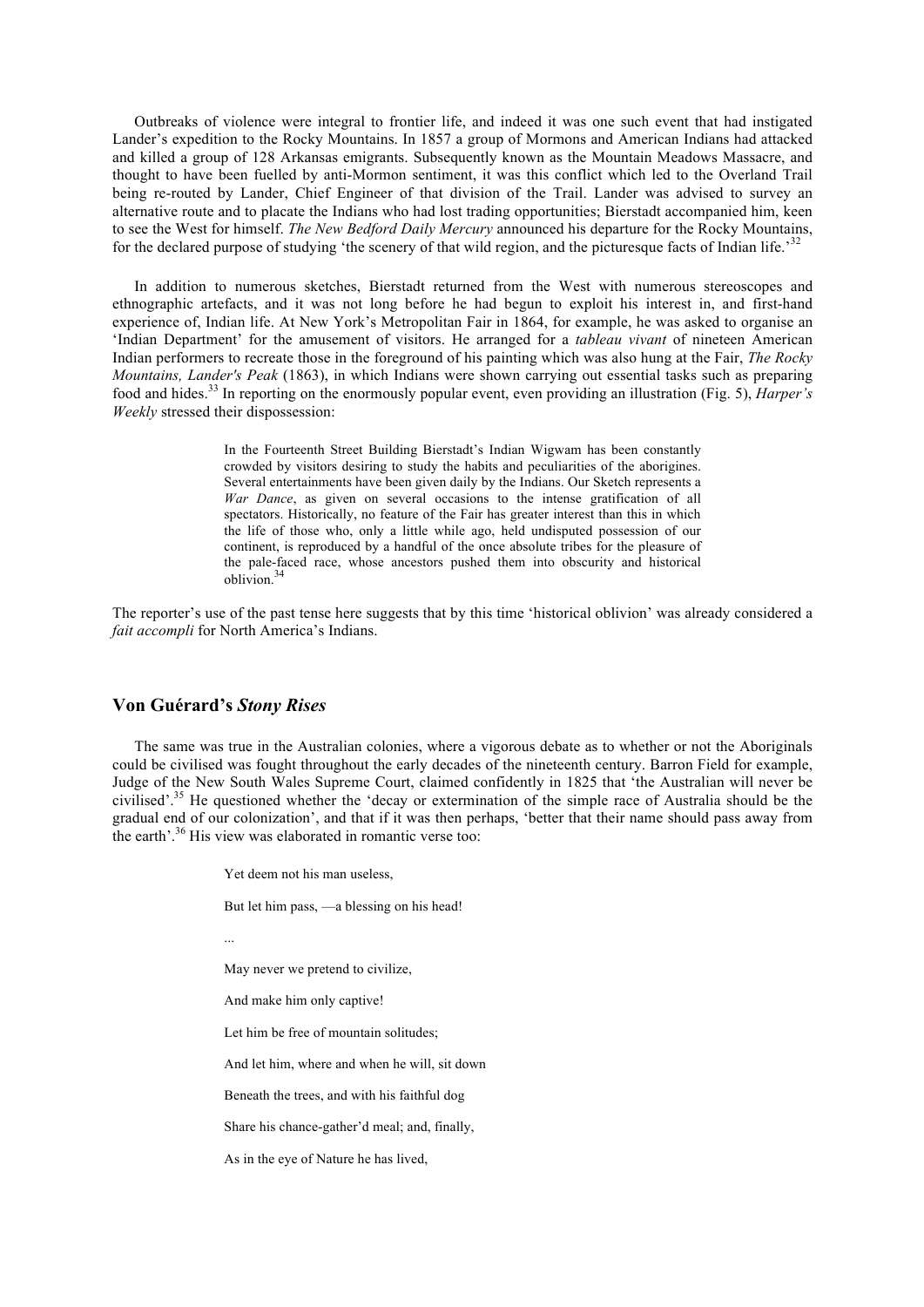Outbreaks of violence were integral to frontier life, and indeed it was one such event that had instigated Lander's expedition to the Rocky Mountains. In 1857 a group of Mormons and American Indians had attacked and killed a group of 128 Arkansas emigrants. Subsequently known as the Mountain Meadows Massacre, and thought to have been fuelled by anti-Mormon sentiment, it was this conflict which led to the Overland Trail being re-routed by Lander, Chief Engineer of that division of the Trail. Lander was advised to survey an alternative route and to placate the Indians who had lost trading opportunities; Bierstadt accompanied him, keen to see the West for himself. *The New Bedford Daily Mercury* announced his departure for the Rocky Mountains, for the declared purpose of studying 'the scenery of that wild region, and the picturesque facts of Indian life.'<sup>32</sup>

In addition to numerous sketches, Bierstadt returned from the West with numerous stereoscopes and ethnographic artefacts, and it was not long before he had begun to exploit his interest in, and first-hand experience of, Indian life. At New York's Metropolitan Fair in 1864, for example, he was asked to organise an 'Indian Department' for the amusement of visitors. He arranged for a *tableau vivant* of nineteen American Indian performers to recreate those in the foreground of his painting which was also hung at the Fair, *The Rocky Mountains, Lander's Peak* (1863), in which Indians were shown carrying out essential tasks such as preparing food and hides.<sup>33</sup> In reporting on the enormously popular event, even providing an illustration (Fig. 5), *Harper's Weekly* stressed their dispossession:

> In the Fourteenth Street Building Bierstadt's Indian Wigwam has been constantly crowded by visitors desiring to study the habits and peculiarities of the aborigines. Several entertainments have been given daily by the Indians. Our Sketch represents a *War Dance*, as given on several occasions to the intense gratification of all spectators. Historically, no feature of the Fair has greater interest than this in which the life of those who, only a little while ago, held undisputed possession of our continent, is reproduced by a handful of the once absolute tribes for the pleasure of the pale-faced race, whose ancestors pushed them into obscurity and historical oblivion.<sup>34</sup>

The reporter's use of the past tense here suggests that by this time 'historical oblivion' was already considered a *fait accompli* for North America's Indians.

#### **Von Guérard's** *Stony Rises*

The same was true in the Australian colonies, where a vigorous debate as to whether or not the Aboriginals could be civilised was fought throughout the early decades of the nineteenth century. Barron Field for example, Judge of the New South Wales Supreme Court, claimed confidently in 1825 that 'the Australian will never be civilised'.35 He questioned whether the 'decay or extermination of the simple race of Australia should be the gradual end of our colonization', and that if it was then perhaps, 'better that their name should pass away from the earth'.<sup>36</sup> His view was elaborated in romantic verse too:

> Yet deem not his man useless, But let him pass, —a blessing on his head!

...

May never we pretend to civilize,

And make him only captive!

Let him be free of mountain solitudes;

And let him, where and when he will, sit down

Beneath the trees, and with his faithful dog

Share his chance-gather'd meal; and, finally,

As in the eye of Nature he has lived,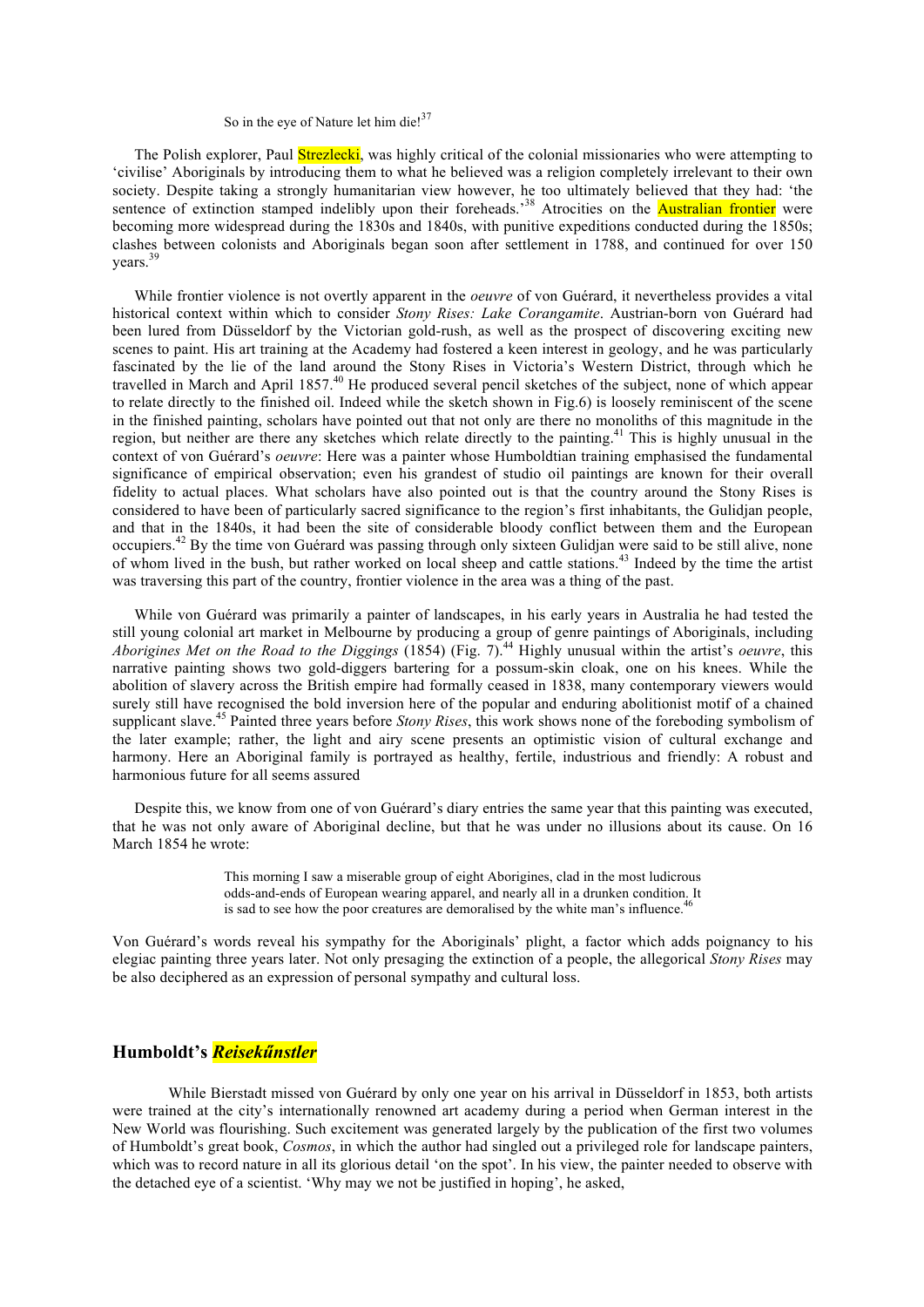#### So in the eye of Nature let him die! $37$

The Polish explorer, Paul **Strezlecki**, was highly critical of the colonial missionaries who were attempting to 'civilise' Aboriginals by introducing them to what he believed was a religion completely irrelevant to their own society. Despite taking a strongly humanitarian view however, he too ultimately believed that they had: 'the sentence of extinction stamped indelibly upon their foreheads.<sup>38</sup> Atrocities on the **Australian frontier** were becoming more widespread during the 1830s and 1840s, with punitive expeditions conducted during the 1850s; clashes between colonists and Aboriginals began soon after settlement in 1788, and continued for over 150 years.<sup>39</sup>

While frontier violence is not overtly apparent in the *oeuvre* of von Guérard, it nevertheless provides a vital historical context within which to consider *Stony Rises: Lake Corangamite*. Austrian-born von Guérard had been lured from Düsseldorf by the Victorian gold-rush, as well as the prospect of discovering exciting new scenes to paint. His art training at the Academy had fostered a keen interest in geology, and he was particularly fascinated by the lie of the land around the Stony Rises in Victoria's Western District, through which he travelled in March and April 1857.<sup>40</sup> He produced several pencil sketches of the subject, none of which appear to relate directly to the finished oil. Indeed while the sketch shown in Fig.6) is loosely reminiscent of the scene in the finished painting, scholars have pointed out that not only are there no monoliths of this magnitude in the region, but neither are there any sketches which relate directly to the painting.41 This is highly unusual in the context of von Guérard's *oeuvre*: Here was a painter whose Humboldtian training emphasised the fundamental significance of empirical observation; even his grandest of studio oil paintings are known for their overall fidelity to actual places. What scholars have also pointed out is that the country around the Stony Rises is considered to have been of particularly sacred significance to the region's first inhabitants, the Gulidjan people, and that in the 1840s, it had been the site of considerable bloody conflict between them and the European occupiers.<sup>42</sup> By the time von Guérard was passing through only sixteen Gulidjan were said to be still alive, none of whom lived in the bush, but rather worked on local sheep and cattle stations.<sup>43</sup> Indeed by the time the artist was traversing this part of the country, frontier violence in the area was a thing of the past.

While von Guérard was primarily a painter of landscapes, in his early years in Australia he had tested the still young colonial art market in Melbourne by producing a group of genre paintings of Aboriginals, including *Aborigines Met on the Road to the Diggings* (1854) (Fig. 7). <sup>44</sup> Highly unusual within the artist's *oeuvre*, this narrative painting shows two gold-diggers bartering for a possum-skin cloak, one on his knees. While the abolition of slavery across the British empire had formally ceased in 1838, many contemporary viewers would surely still have recognised the bold inversion here of the popular and enduring abolitionist motif of a chained supplicant slave.45 Painted three years before *Stony Rises*, this work shows none of the foreboding symbolism of the later example; rather, the light and airy scene presents an optimistic vision of cultural exchange and harmony. Here an Aboriginal family is portrayed as healthy, fertile, industrious and friendly: A robust and harmonious future for all seems assured

Despite this, we know from one of von Guérard's diary entries the same year that this painting was executed, that he was not only aware of Aboriginal decline, but that he was under no illusions about its cause. On 16 March 1854 he wrote:

> This morning I saw a miserable group of eight Aborigines, clad in the most ludicrous odds-and-ends of European wearing apparel, and nearly all in a drunken condition. It is sad to see how the poor creatures are demoralised by the white man's influence.<sup>46</sup>

Von Guérard's words reveal his sympathy for the Aboriginals' plight, a factor which adds poignancy to his elegiac painting three years later. Not only presaging the extinction of a people, the allegorical *Stony Rises* may be also deciphered as an expression of personal sympathy and cultural loss.

#### **Humboldt's** *Reisekűnstler*

While Bierstadt missed von Guérard by only one year on his arrival in Düsseldorf in 1853, both artists were trained at the city's internationally renowned art academy during a period when German interest in the New World was flourishing. Such excitement was generated largely by the publication of the first two volumes of Humboldt's great book, *Cosmos*, in which the author had singled out a privileged role for landscape painters, which was to record nature in all its glorious detail 'on the spot'. In his view, the painter needed to observe with the detached eye of a scientist. 'Why may we not be justified in hoping', he asked,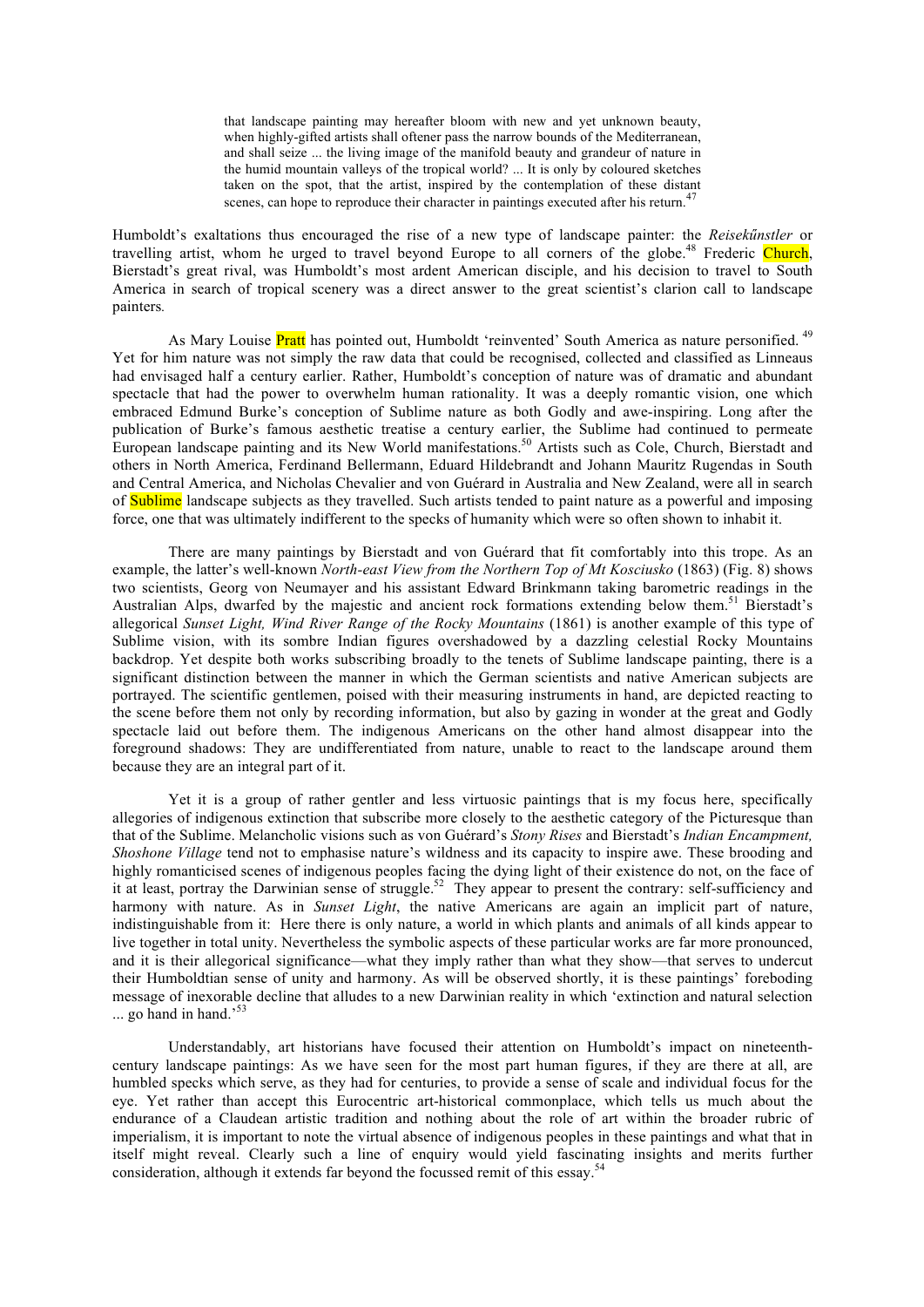that landscape painting may hereafter bloom with new and yet unknown beauty, when highly-gifted artists shall oftener pass the narrow bounds of the Mediterranean, and shall seize ... the living image of the manifold beauty and grandeur of nature in the humid mountain valleys of the tropical world? ... It is only by coloured sketches taken on the spot, that the artist, inspired by the contemplation of these distant scenes, can hope to reproduce their character in paintings executed after his return.<sup>47</sup>

Humboldt's exaltations thus encouraged the rise of a new type of landscape painter: the *Reisekűnstler* or travelling artist, whom he urged to travel beyond Europe to all corners of the globe.<sup>48</sup> Frederic Church, Bierstadt's great rival, was Humboldt's most ardent American disciple, and his decision to travel to South America in search of tropical scenery was a direct answer to the great scientist's clarion call to landscape painters*.* 

As Mary Louise Pratt has pointed out, Humboldt 'reinvented' South America as nature personified. <sup>49</sup> Yet for him nature was not simply the raw data that could be recognised, collected and classified as Linneaus had envisaged half a century earlier. Rather, Humboldt's conception of nature was of dramatic and abundant spectacle that had the power to overwhelm human rationality. It was a deeply romantic vision, one which embraced Edmund Burke's conception of Sublime nature as both Godly and awe-inspiring. Long after the publication of Burke's famous aesthetic treatise a century earlier, the Sublime had continued to permeate European landscape painting and its New World manifestations. <sup>50</sup> Artists such as Cole, Church, Bierstadt and others in North America, Ferdinand Bellermann, Eduard Hildebrandt and Johann Mauritz Rugendas in South and Central America, and Nicholas Chevalier and von Guérard in Australia and New Zealand, were all in search of **Sublime** landscape subjects as they travelled. Such artists tended to paint nature as a powerful and imposing force, one that was ultimately indifferent to the specks of humanity which were so often shown to inhabit it.

There are many paintings by Bierstadt and von Guérard that fit comfortably into this trope. As an example, the latter's well-known *North-east View from the Northern Top of Mt Kosciusko* (1863) (Fig. 8) shows two scientists, Georg von Neumayer and his assistant Edward Brinkmann taking barometric readings in the Australian Alps, dwarfed by the majestic and ancient rock formations extending below them.<sup>51</sup> Bierstadt's allegorical *Sunset Light, Wind River Range of the Rocky Mountains* (1861) is another example of this type of Sublime vision, with its sombre Indian figures overshadowed by a dazzling celestial Rocky Mountains backdrop. Yet despite both works subscribing broadly to the tenets of Sublime landscape painting, there is a significant distinction between the manner in which the German scientists and native American subjects are portrayed. The scientific gentlemen, poised with their measuring instruments in hand, are depicted reacting to the scene before them not only by recording information, but also by gazing in wonder at the great and Godly spectacle laid out before them. The indigenous Americans on the other hand almost disappear into the foreground shadows: They are undifferentiated from nature, unable to react to the landscape around them because they are an integral part of it.

Yet it is a group of rather gentler and less virtuosic paintings that is my focus here, specifically allegories of indigenous extinction that subscribe more closely to the aesthetic category of the Picturesque than that of the Sublime. Melancholic visions such as von Guérard's *Stony Rises* and Bierstadt's *Indian Encampment, Shoshone Village* tend not to emphasise nature's wildness and its capacity to inspire awe. These brooding and highly romanticised scenes of indigenous peoples facing the dying light of their existence do not, on the face of it at least, portray the Darwinian sense of struggle.<sup>52</sup> They appear to present the contrary: self-sufficiency and it at least, portray the Darwinian sense of struggle.<sup>52</sup> harmony with nature. As in *Sunset Light*, the native Americans are again an implicit part of nature, indistinguishable from it: Here there is only nature, a world in which plants and animals of all kinds appear to live together in total unity. Nevertheless the symbolic aspects of these particular works are far more pronounced, and it is their allegorical significance—what they imply rather than what they show—that serves to undercut their Humboldtian sense of unity and harmony. As will be observed shortly, it is these paintings' foreboding message of inexorable decline that alludes to a new Darwinian reality in which 'extinction and natural selection ... go hand in hand.<sup>53</sup>

Understandably, art historians have focused their attention on Humboldt's impact on nineteenthcentury landscape paintings: As we have seen for the most part human figures, if they are there at all, are humbled specks which serve, as they had for centuries, to provide a sense of scale and individual focus for the eye. Yet rather than accept this Eurocentric art-historical commonplace, which tells us much about the endurance of a Claudean artistic tradition and nothing about the role of art within the broader rubric of imperialism, it is important to note the virtual absence of indigenous peoples in these paintings and what that in itself might reveal. Clearly such a line of enquiry would yield fascinating insights and merits further consideration, although it extends far beyond the focussed remit of this essay.<sup>54</sup>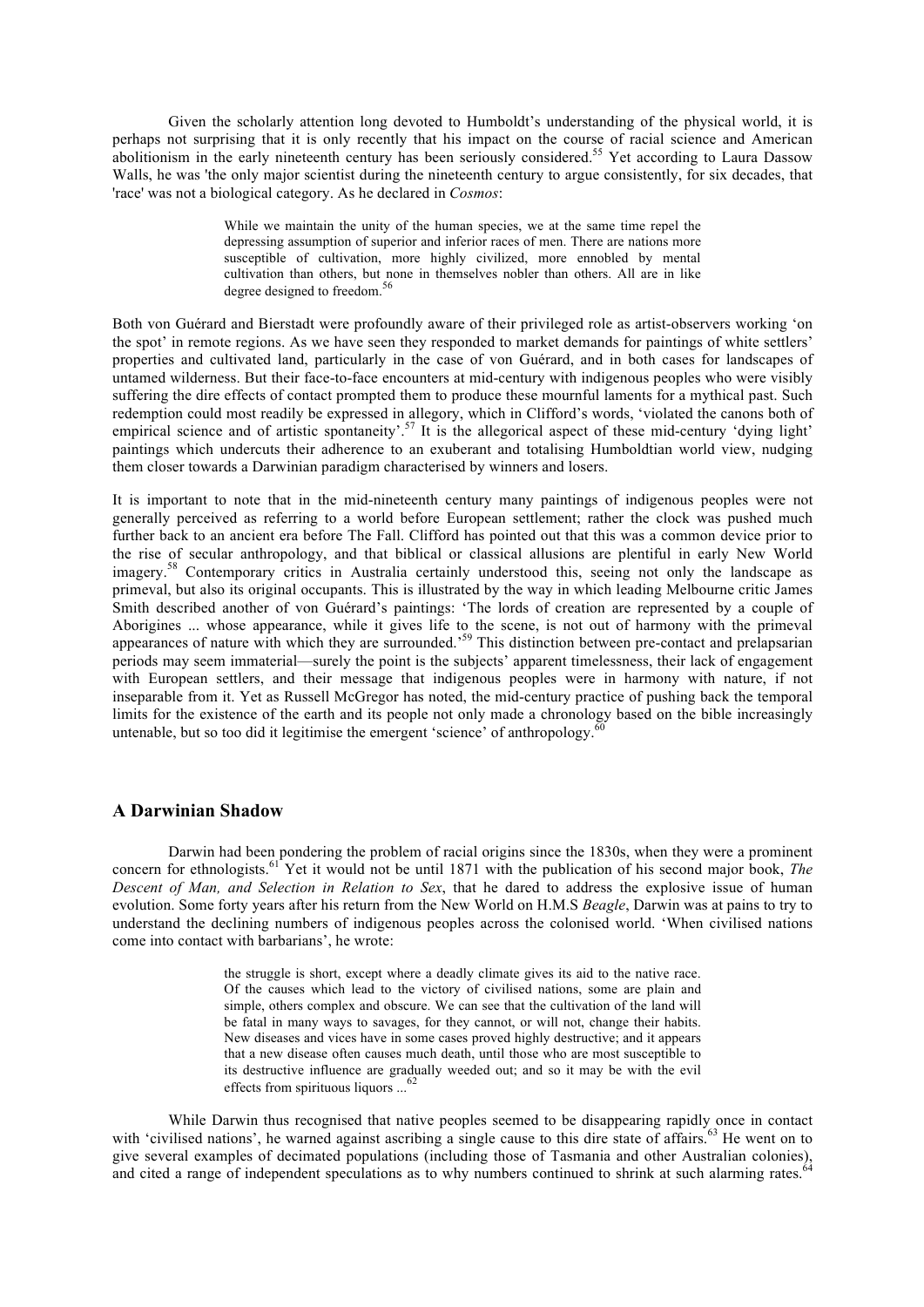Given the scholarly attention long devoted to Humboldt's understanding of the physical world, it is perhaps not surprising that it is only recently that his impact on the course of racial science and American abolitionism in the early nineteenth century has been seriously considered.<sup>55</sup> Yet according to Laura Dassow Walls, he was 'the only major scientist during the nineteenth century to argue consistently, for six decades, that 'race' was not a biological category. As he declared in *Cosmos*:

> While we maintain the unity of the human species, we at the same time repel the depressing assumption of superior and inferior races of men. There are nations more susceptible of cultivation, more highly civilized, more ennobled by mental cultivation than others, but none in themselves nobler than others. All are in like degree designed to freedom.<sup>56</sup>

Both von Guérard and Bierstadt were profoundly aware of their privileged role as artist-observers working 'on the spot' in remote regions. As we have seen they responded to market demands for paintings of white settlers' properties and cultivated land, particularly in the case of von Guérard, and in both cases for landscapes of untamed wilderness. But their face-to-face encounters at mid-century with indigenous peoples who were visibly suffering the dire effects of contact prompted them to produce these mournful laments for a mythical past. Such redemption could most readily be expressed in allegory, which in Clifford's words, 'violated the canons both of empirical science and of artistic spontaneity'.<sup>57</sup> It is the allegorical aspect of these mid-century 'dying light' paintings which undercuts their adherence to an exuberant and totalising Humboldtian world view, nudging them closer towards a Darwinian paradigm characterised by winners and losers.

It is important to note that in the mid-nineteenth century many paintings of indigenous peoples were not generally perceived as referring to a world before European settlement; rather the clock was pushed much further back to an ancient era before The Fall. Clifford has pointed out that this was a common device prior to the rise of secular anthropology, and that biblical or classical allusions are plentiful in early New World imagery.<sup>58</sup> Contemporary critics in Australia certainly understood this, seeing not only the landscape as primeval, but also its original occupants. This is illustrated by the way in which leading Melbourne critic James Smith described another of von Guérard's paintings: 'The lords of creation are represented by a couple of Aborigines ... whose appearance, while it gives life to the scene, is not out of harmony with the primeval appearances of nature with which they are surrounded.'<sup>59</sup> This distinction between pre-contact and prelapsarian periods may seem immaterial—surely the point is the subjects' apparent timelessness, their lack of engagement with European settlers, and their message that indigenous peoples were in harmony with nature, if not inseparable from it. Yet as Russell McGregor has noted, the mid-century practice of pushing back the temporal limits for the existence of the earth and its people not only made a chronology based on the bible increasingly untenable, but so too did it legitimise the emergent 'science' of anthropology.<sup>6</sup>

#### **A Darwinian Shadow**

Darwin had been pondering the problem of racial origins since the 1830s, when they were a prominent concern for ethnologists.<sup>61</sup> Yet it would not be until 1871 with the publication of his second major book, *The Descent of Man, and Selection in Relation to Sex*, that he dared to address the explosive issue of human evolution. Some forty years after his return from the New World on H.M.S *Beagle*, Darwin was at pains to try to understand the declining numbers of indigenous peoples across the colonised world. 'When civilised nations come into contact with barbarians', he wrote:

> the struggle is short, except where a deadly climate gives its aid to the native race. Of the causes which lead to the victory of civilised nations, some are plain and simple, others complex and obscure. We can see that the cultivation of the land will be fatal in many ways to savages, for they cannot, or will not, change their habits. New diseases and vices have in some cases proved highly destructive; and it appears that a new disease often causes much death, until those who are most susceptible to its destructive influence are gradually weeded out; and so it may be with the evil effects from spirituous liquors ...<sup>62</sup>

While Darwin thus recognised that native peoples seemed to be disappearing rapidly once in contact with 'civilised nations', he warned against ascribing a single cause to this dire state of affairs.<sup>63</sup> He went on to give several examples of decimated populations (including those of Tasmania and other Australian colonies), and cited a range of independent speculations as to why numbers continued to shrink at such alarming rates.<sup>64</sup>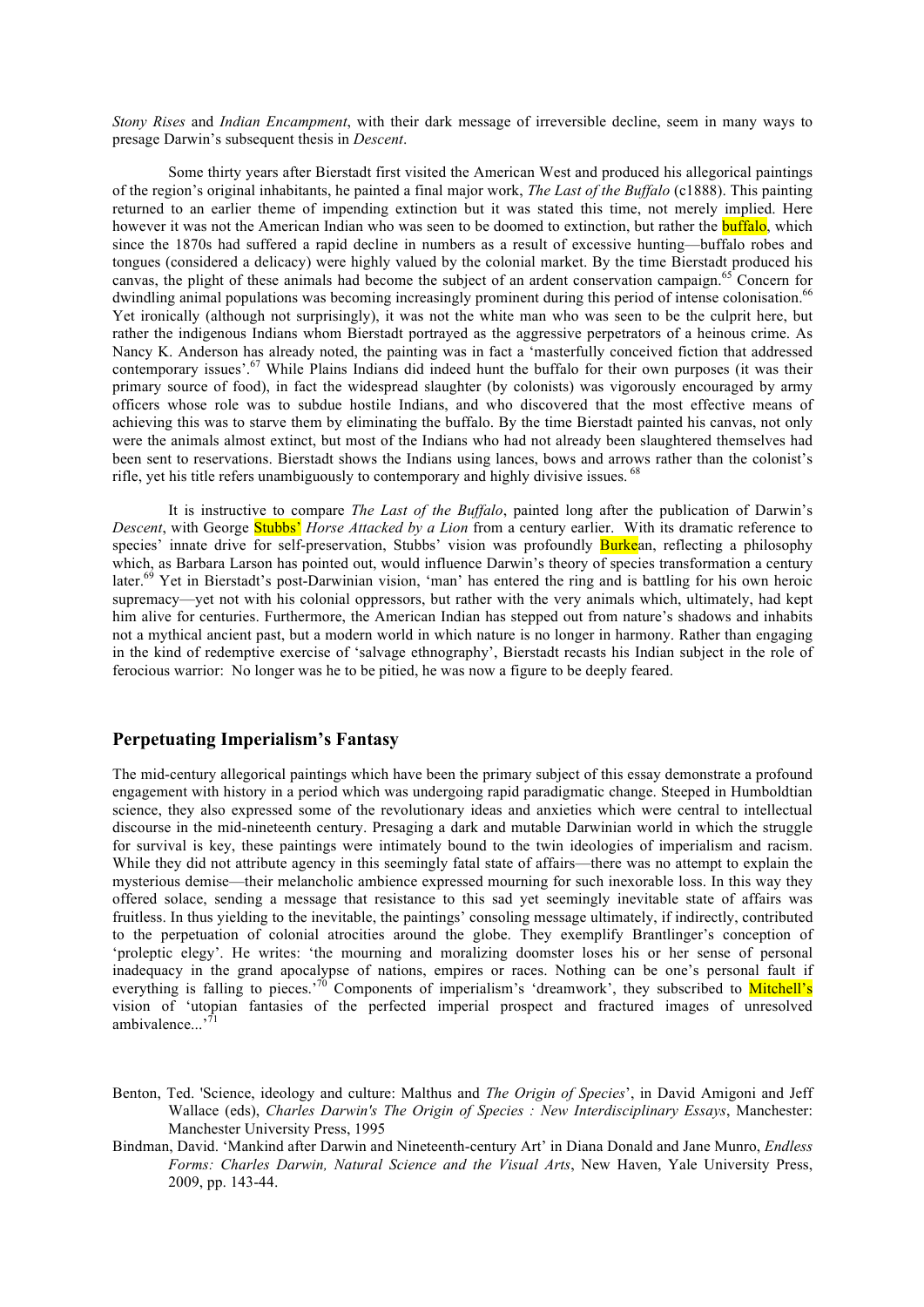*Stony Rises* and *Indian Encampment*, with their dark message of irreversible decline, seem in many ways to presage Darwin's subsequent thesis in *Descent*.

Some thirty years after Bierstadt first visited the American West and produced his allegorical paintings of the region's original inhabitants, he painted a final major work, *The Last of the Buffalo* (c1888). This painting returned to an earlier theme of impending extinction but it was stated this time, not merely implied. Here however it was not the American Indian who was seen to be doomed to extinction, but rather the **buffalo**, which since the 1870s had suffered a rapid decline in numbers as a result of excessive hunting—buffalo robes and tongues (considered a delicacy) were highly valued by the colonial market. By the time Bierstadt produced his canvas, the plight of these animals had become the subject of an ardent conservation campaign.<sup>65</sup> Concern for dwindling animal populations was becoming increasingly prominent during this period of intense colonisation.<sup>6</sup> Yet ironically (although not surprisingly), it was not the white man who was seen to be the culprit here, but rather the indigenous Indians whom Bierstadt portrayed as the aggressive perpetrators of a heinous crime. As Nancy K. Anderson has already noted, the painting was in fact a 'masterfully conceived fiction that addressed contemporary issues'.<sup>67</sup> While Plains Indians did indeed hunt the buffalo for their own purposes (it was their primary source of food), in fact the widespread slaughter (by colonists) was vigorously encouraged by army officers whose role was to subdue hostile Indians, and who discovered that the most effective means of achieving this was to starve them by eliminating the buffalo. By the time Bierstadt painted his canvas, not only were the animals almost extinct, but most of the Indians who had not already been slaughtered themselves had been sent to reservations. Bierstadt shows the Indians using lances, bows and arrows rather than the colonist's rifle, yet his title refers unambiguously to contemporary and highly divisive issues. <sup>68</sup>

It is instructive to compare *The Last of the Buffalo*, painted long after the publication of Darwin's *Descent*, with George **Stubbs'** *Horse Attacked by a Lion* from a century earlier. With its dramatic reference to species' innate drive for self-preservation, Stubbs' vision was profoundly Burkean, reflecting a philosophy which, as Barbara Larson has pointed out, would influence Darwin's theory of species transformation a century later.<sup>69</sup> Yet in Bierstadt's post-Darwinian vision, 'man' has entered the ring and is battling for his own heroic supremacy—yet not with his colonial oppressors, but rather with the very animals which, ultimately, had kept him alive for centuries. Furthermore, the American Indian has stepped out from nature's shadows and inhabits not a mythical ancient past, but a modern world in which nature is no longer in harmony. Rather than engaging in the kind of redemptive exercise of 'salvage ethnography', Bierstadt recasts his Indian subject in the role of ferocious warrior: No longer was he to be pitied, he was now a figure to be deeply feared.

#### **Perpetuating Imperialism's Fantasy**

The mid-century allegorical paintings which have been the primary subject of this essay demonstrate a profound engagement with history in a period which was undergoing rapid paradigmatic change. Steeped in Humboldtian science, they also expressed some of the revolutionary ideas and anxieties which were central to intellectual discourse in the mid-nineteenth century. Presaging a dark and mutable Darwinian world in which the struggle for survival is key, these paintings were intimately bound to the twin ideologies of imperialism and racism. While they did not attribute agency in this seemingly fatal state of affairs—there was no attempt to explain the mysterious demise—their melancholic ambience expressed mourning for such inexorable loss. In this way they offered solace, sending a message that resistance to this sad yet seemingly inevitable state of affairs was fruitless. In thus yielding to the inevitable, the paintings' consoling message ultimately, if indirectly, contributed to the perpetuation of colonial atrocities around the globe. They exemplify Brantlinger's conception of 'proleptic elegy'. He writes: 'the mourning and moralizing doomster loses his or her sense of personal inadequacy in the grand apocalypse of nations, empires or races. Nothing can be one's personal fault if everything is falling to pieces.<sup>70</sup> Components of imperialism's 'dreamwork', they subscribed to Mitchell's vision of 'utopian fantasies of the perfected imperial prospect and fractured images of unresolved ambivalence...'

- Benton, Ted. 'Science, ideology and culture: Malthus and *The Origin of Species*', in David Amigoni and Jeff Wallace (eds), *Charles Darwin's The Origin of Species : New Interdisciplinary Essays*, Manchester: Manchester University Press, 1995
- Bindman, David. 'Mankind after Darwin and Nineteenth-century Art' in Diana Donald and Jane Munro, *Endless Forms: Charles Darwin, Natural Science and the Visual Arts*, New Haven, Yale University Press, 2009, pp. 143-44.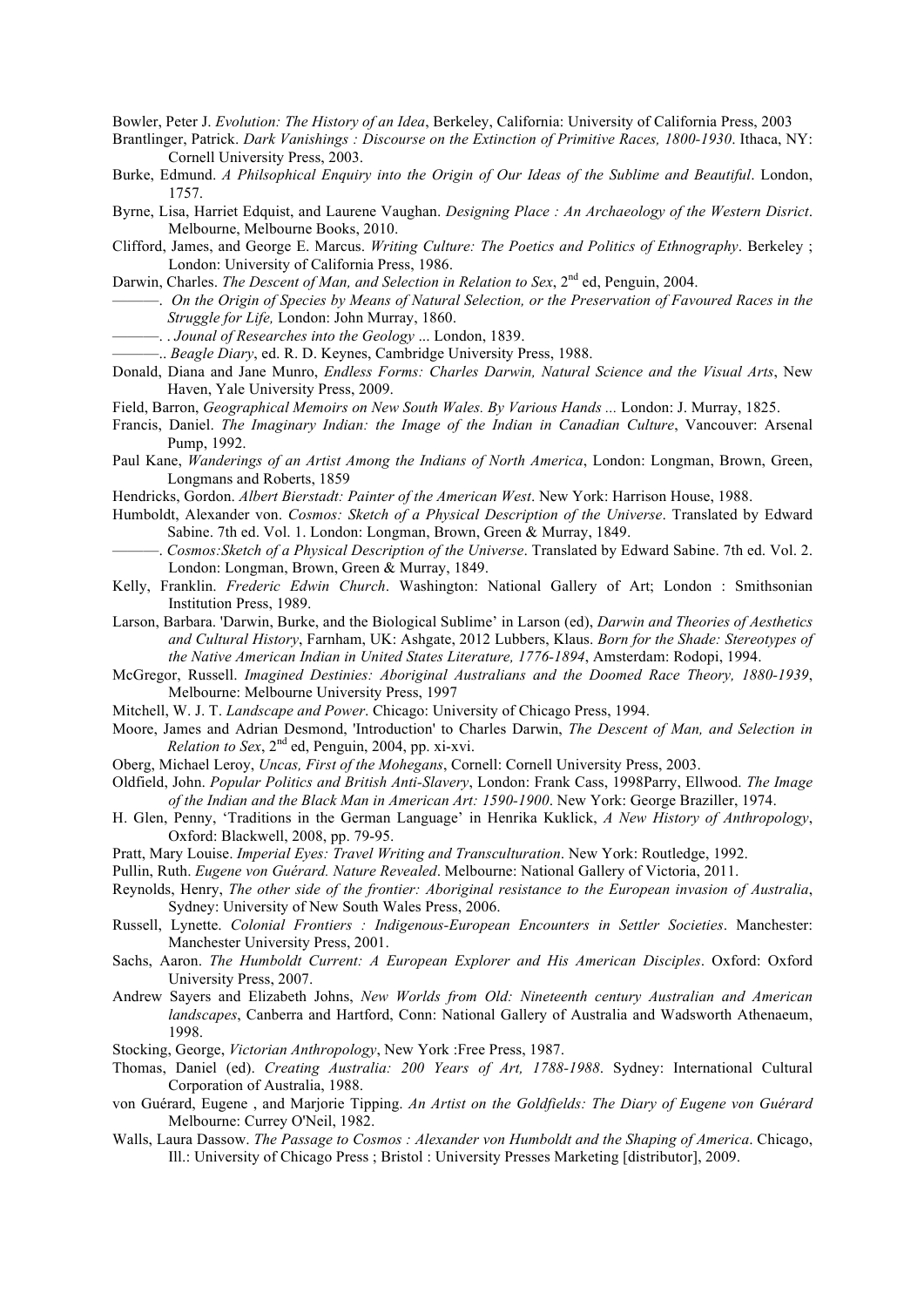Bowler, Peter J. *Evolution: The History of an Idea*, Berkeley, California: University of California Press, 2003

Brantlinger, Patrick. *Dark Vanishings : Discourse on the Extinction of Primitive Races, 1800-1930*. Ithaca, NY: Cornell University Press, 2003.

- Burke, Edmund. *A Philsophical Enquiry into the Origin of Our Ideas of the Sublime and Beautiful*. London, 1757.
- Byrne, Lisa, Harriet Edquist, and Laurene Vaughan. *Designing Place : An Archaeology of the Western Disrict*. Melbourne, Melbourne Books, 2010.

Clifford, James, and George E. Marcus. *Writing Culture: The Poetics and Politics of Ethnography*. Berkeley ; London: University of California Press, 1986.

Darwin, Charles. *The Descent of Man, and Selection in Relation to Sex*, 2<sup>nd</sup> ed, Penguin, 2004.

———. *On the Origin of Species by Means of Natural Selection, or the Preservation of Favoured Races in the Struggle for Life,* London: John Murray, 1860.

- ———. . *Jounal of Researches into the Geology* ... London, 1839.
- ———.. *Beagle Diary*, ed. R. D. Keynes, Cambridge University Press, 1988.

Donald, Diana and Jane Munro, *Endless Forms: Charles Darwin, Natural Science and the Visual Arts*, New Haven, Yale University Press, 2009.

- Field, Barron, *Geographical Memoirs on New South Wales. By Various Hands ...* London: J. Murray, 1825.
- Francis, Daniel. *The Imaginary Indian: the Image of the Indian in Canadian Culture*, Vancouver: Arsenal Pump, 1992.
- Paul Kane, *Wanderings of an Artist Among the Indians of North America*, London: Longman, Brown, Green, Longmans and Roberts, 1859
- Hendricks, Gordon. *Albert Bierstadt: Painter of the American West*. New York: Harrison House, 1988.
- Humboldt, Alexander von. *Cosmos: Sketch of a Physical Description of the Universe*. Translated by Edward Sabine. 7th ed. Vol. 1. London: Longman, Brown, Green & Murray, 1849.
- ———. *Cosmos:Sketch of a Physical Description of the Universe*. Translated by Edward Sabine. 7th ed. Vol. 2. London: Longman, Brown, Green & Murray, 1849.
- Kelly, Franklin. *Frederic Edwin Church*. Washington: National Gallery of Art; London : Smithsonian Institution Press, 1989.
- Larson, Barbara. 'Darwin, Burke, and the Biological Sublime' in Larson (ed), *Darwin and Theories of Aesthetics and Cultural History*, Farnham, UK: Ashgate, 2012 Lubbers, Klaus. *Born for the Shade: Stereotypes of the Native American Indian in United States Literature, 1776-1894*, Amsterdam: Rodopi, 1994.
- McGregor, Russell. *Imagined Destinies: Aboriginal Australians and the Doomed Race Theory, 1880-1939*, Melbourne: Melbourne University Press, 1997
- Mitchell, W. J. T. *Landscape and Power*. Chicago: University of Chicago Press, 1994.
- Moore, James and Adrian Desmond, 'Introduction' to Charles Darwin, *The Descent of Man, and Selection in Relation to Sex*,  $2<sup>nd</sup>$  ed, Penguin, 2004, pp. xi-xvi.
- Oberg, Michael Leroy, *Uncas, First of the Mohegans*, Cornell: Cornell University Press, 2003.
- Oldfield, John. *Popular Politics and British Anti-Slavery*, London: Frank Cass, 1998Parry, Ellwood. *The Image of the Indian and the Black Man in American Art: 1590-1900*. New York: George Braziller, 1974.
- H. Glen, Penny, 'Traditions in the German Language' in Henrika Kuklick, *A New History of Anthropology*, Oxford: Blackwell, 2008, pp. 79-95.
- Pratt, Mary Louise. *Imperial Eyes: Travel Writing and Transculturation*. New York: Routledge, 1992.
- Pullin, Ruth. *Eugene von Guérard. Nature Revealed*. Melbourne: National Gallery of Victoria, 2011.
- Reynolds, Henry, *The other side of the frontier: Aboriginal resistance to the European invasion of Australia*, Sydney: University of New South Wales Press, 2006.
- Russell, Lynette. *Colonial Frontiers : Indigenous-European Encounters in Settler Societies*. Manchester: Manchester University Press, 2001.
- Sachs, Aaron. *The Humboldt Current: A European Explorer and His American Disciples*. Oxford: Oxford University Press, 2007.
- Andrew Sayers and Elizabeth Johns, *New Worlds from Old: Nineteenth century Australian and American landscapes*, Canberra and Hartford, Conn: National Gallery of Australia and Wadsworth Athenaeum, 1998.
- Stocking, George, *Victorian Anthropology*, New York :Free Press, 1987.
- Thomas, Daniel (ed). *Creating Australia: 200 Years of Art, 1788-1988*. Sydney: International Cultural Corporation of Australia, 1988.
- von Guérard, Eugene , and Marjorie Tipping. *An Artist on the Goldfields: The Diary of Eugene von Guérard*  Melbourne: Currey O'Neil, 1982.
- Walls, Laura Dassow. *The Passage to Cosmos : Alexander von Humboldt and the Shaping of America*. Chicago, Ill.: University of Chicago Press ; Bristol : University Presses Marketing [distributor], 2009.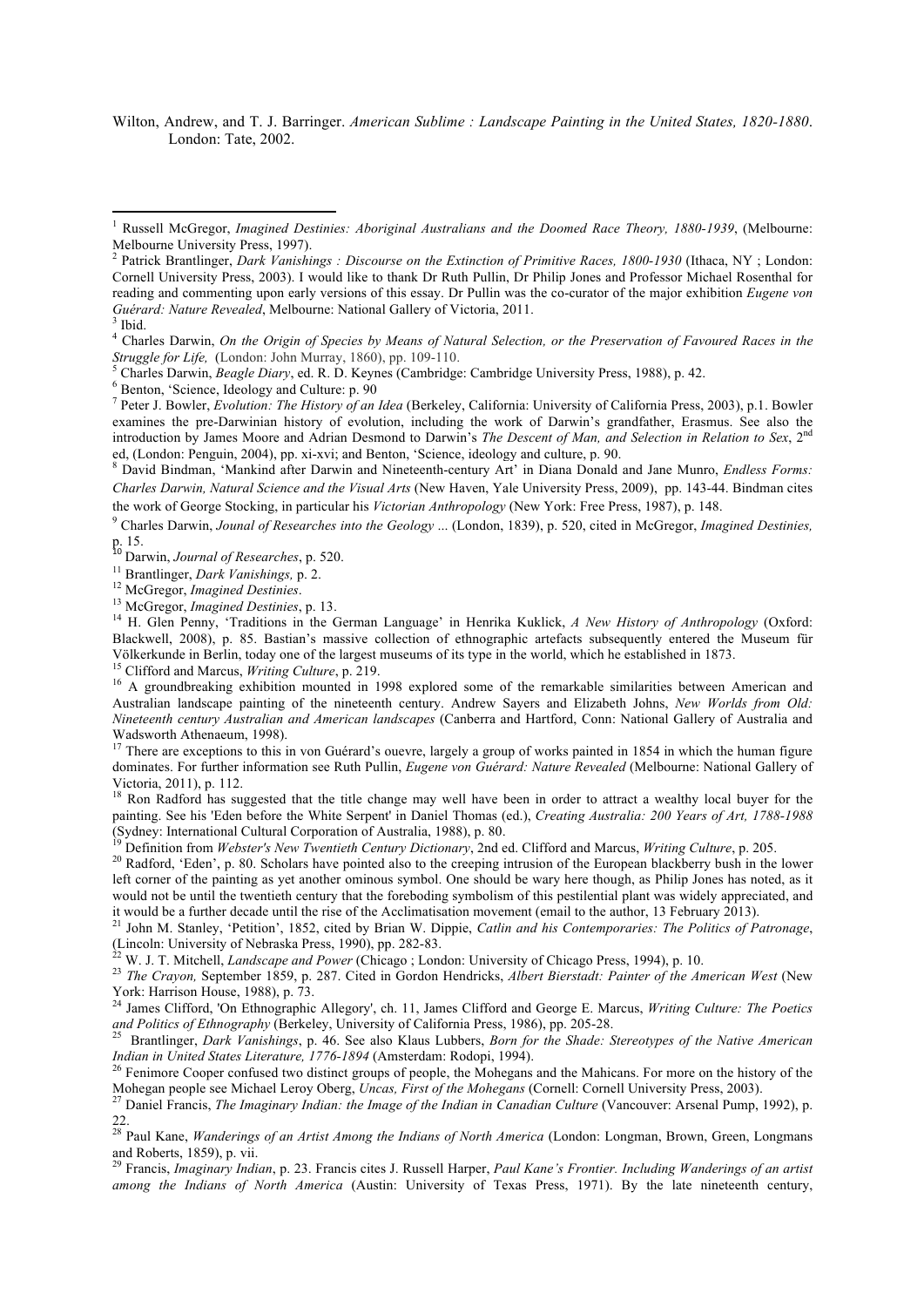Wilton, Andrew, and T. J. Barringer. *American Sublime : Landscape Painting in the United States, 1820-1880*. London: Tate, 2002.

<u> 1989 - Jan Samuel Barbara, margaret e</u>

<sup>8</sup> David Bindman, 'Mankind after Darwin and Nineteenth-century Art' in Diana Donald and Jane Munro, *Endless Forms: Charles Darwin, Natural Science and the Visual Arts* (New Haven, Yale University Press, 2009), pp. 143-44. Bindman cites the work of George Stocking, in particular his *Victorian Anthropology* (New York: Free Press, 1987), p. 148.

<sup>9</sup> Charles Darwin, *Jounal of Researches into the Geology* ... (London, 1839), p. 520, cited in McGregor, *Imagined Destinies,*  p. 15.

<sup>11</sup> Brantlinger, *Dark Vanishings*, p. 2.<br><sup>12</sup> McGregor, *Imagined Destinies*.<br><sup>13</sup> McGregor, *Imagined Destinies*, p. 13.<br><sup>14</sup> H. Glen Penny, 'Traditions in the German Language' in Henrika Kuklick, A New History of Anthr Blackwell, 2008), p. 85. Bastian's massive collection of ethnographic artefacts subsequently entered the Museum für Völkerkunde in Berlin, today one of the largest museums of its type in the world, which he established in 1873.

<sup>16</sup> A groundbreaking exhibition mounted in 1998 explored some of the remarkable similarities between American and Australian landscape painting of the nineteenth century. Andrew Sayers and Elizabeth Johns, *New Worlds from Old: Nineteenth century Australian and American landscapes* (Canberra and Hartford, Conn: National Gallery of Australia and Wadsworth Athenaeum, 1998).

<sup>17</sup> There are exceptions to this in von Guérard's ouevre, largely a group of works painted in 1854 in which the human figure dominates. For further information see Ruth Pullin, *Eugene von Guérard: Nature Revealed* (Melbourne: National Gallery of Victoria, 2011), p. 112.

<sup>18</sup> Ron Radford has suggested that the title change may well have been in order to attract a wealthy local buyer for the painting. See his 'Eden before the White Serpent' in Daniel Thomas (ed.), *Creating Australia: 200 Years of Art, 1788-1988* (Sydney: International Cultural Corporation of Australia, 1988), p. 80.<br><sup>19</sup> Definition from *Webster's New Twentieth Century Dictionary*, 2nd ed. Clifford and Marcus, *Writing Culture*, p. 205.<br><sup>20</sup> Radford, 'Eden', p. 80

left corner of the painting as yet another ominous symbol. One should be wary here though, as Philip Jones has noted, as it would not be until the twentieth century that the foreboding symbolism of this pestilential plant was widely appreciated, and

it would be a further decade until the rise of the Acclimatisation movement (email to the author, 13 February 2013).<br><sup>21</sup> John M. Stanley, 'Petition', 1852, cited by Brian W. Dippie, *Catlin and his Contemporaries: The Po* 

<sup>22</sup> W. J. T. Mitchell, *Landscape and Power* (Chicago; London: University of Chicago Press, 1994), p. 10.<br><sup>23</sup> *The Cravon*, September 1859, p. 287. Cited in Gordon Hendricks, *Albert Bierstadt: Painter of the American W* York: Harrison House, 1988), p. 73.

<sup>24</sup> James Clifford, 'On Ethnographic Allegory', ch. 11, James Clifford and George E. Marcus, *Writing Culture: The Poetics*  and Politics of Ethnography (Berkeley, University of California Press, 1986), pp. 205-28.<br><sup>25</sup> Brantlinger, *Dark Vanishings*, p. 46. See also Klaus Lubbers, *Born for the Shade: Stereotypes of the Native American* 

*Indian in United States Literature, 1776-1894* (Amsterdam: Rodopi, 1994).<br><sup>26</sup> Fenimore Cooper confused two distinct groups of people, the Mohegans and the Mahicans. For more on the history of the

Mohegan people see Michael Leroy Oberg, *Uncas, First of the Mohegans* (Cornell: Cornell University Press, 2003).<br><sup>27</sup> Daniel Francis, *The Imaginary Indian: the Image of the Indian in Canadian Culture* (Vancouver: Arsenal

22.

<sup>28</sup> Paul Kane, *Wanderings of an Artist Among the Indians of North America* (London: Longman, Brown, Green, Longmans and Roberts, 1859), p. vii.

<sup>29</sup> Francis, *Imaginary Indian*, p. 23. Francis cites J. Russell Harper, *Paul Kane's Frontier. Including Wanderings of an artist among the Indians of North America* (Austin: University of Texas Press, 1971). By the late nineteenth century,

<sup>1</sup> Russell McGregor, *Imagined Destinies: Aboriginal Australians and the Doomed Race Theory, 1880-1939*, (Melbourne: Melbourne University Press, 1997).

<sup>2</sup> Patrick Brantlinger, *Dark Vanishings : Discourse on the Extinction of Primitive Races, 1800-1930* (Ithaca, NY ; London: Cornell University Press, 2003). I would like to thank Dr Ruth Pullin, Dr Philip Jones and Professor Michael Rosenthal for reading and commenting upon early versions of this essay. Dr Pullin was the co-curator of the major exhibition *Eugene von Guérard: Nature Revealed*, Melbourne: National Gallery of Victoria, 2011. <sup>3</sup> Ibid.

<sup>&</sup>lt;sup>4</sup> Charles Darwin, *On the Origin of Species by Means of Natural Selection, or the Preservation of Favoured Races in the <i>Struggle for Life*, (London: John Murray, 1860), pp. 109-110.

<sup>&</sup>lt;sup>5</sup> Charles Darwin, *Beagle Diary*, ed. R. D. Keynes (Cambridge: Cambridge University Press, 1988), p. 42.<br><sup>6</sup> Benton. 'Science. Ideology and Culture: p. 90

<sup>7</sup> Peter J. Bowler, *Evolution: The History of an Idea* (Berkeley, California: University of California Press, 2003), p.1. Bowler examines the pre-Darwinian history of evolution, including the work of Darwin's grandfather, Erasmus. See also the introduction by James Moore and Adrian Desmond to Darwin's *The Descent of Man, and Selection in Relation to Sex*, 2<sup>nd</sup> ed, (London: Penguin, 2004), pp. xi-xvi; and Benton, 'Science, ideology and culture, p. 90.

<sup>10</sup> Darwin, *Journal of Researches*, p. 520.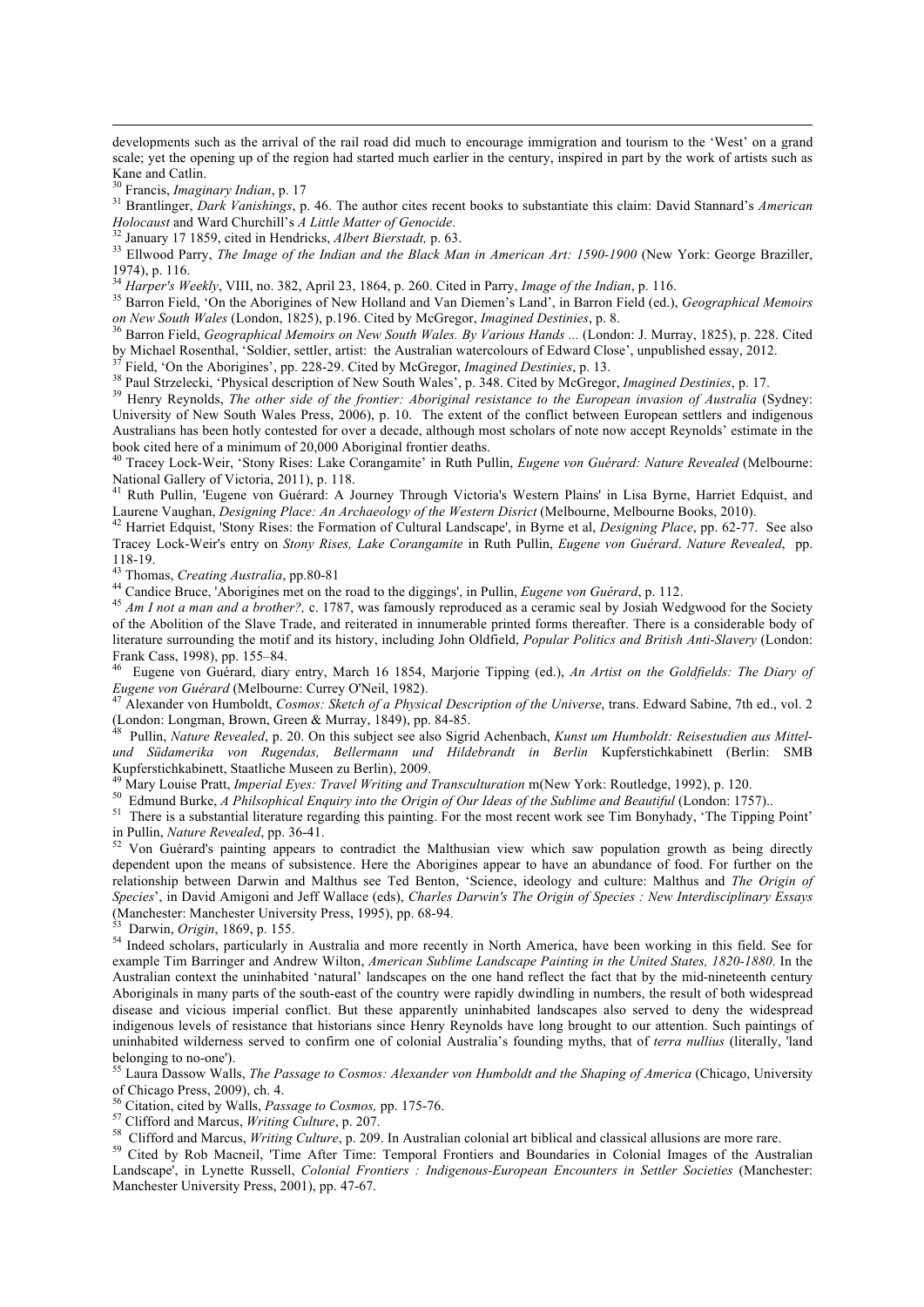developments such as the arrival of the rail road did much to encourage immigration and tourism to the 'West' on a grand scale; yet the opening up of the region had started much earlier in the century, inspired in part by the work of artists such as Kane and Catlin.<br><sup>30</sup> Francis, *Imaginary Indian*, p. 17

<u> 1989 - Andrea Santa Andrea Andrea Andrea Andrea Andrea Andrea Andrea Andrea Andrea Andrea Andrea Andrea Andr</u>

<sup>31</sup> Brantlinger, *Dark Vanishings*, p. 46. The author cites recent books to substantiate this claim: David Stannard's *American* Holocaust and Ward Churchill's A Little Matter of Genocide.<br><sup>32</sup> January 17 1859, cited in Hendricks, Albert Bierstadt, p. 63.<br><sup>33</sup> Ellwood Parry, *The Image of the Indian and the Black Man in American Art: 1590-1900* (New

1974), p. 116.<br><sup>34</sup> Harper's Weekly, VIII, no. 382, April 23, 1864, p. 260. Cited in Parry, *Image of the Indian*, p. 116.

35 Barron Field, 'On the Aborigines of New Holland and Van Diemen's Land', in Barron Field (ed.), Geographical Memoirs<br>on New South Wales (London, 1825), p.196. Cited by McGregor, Imagined Destinies, p. 8.

<sup>36</sup> Barron Field, *Geographical Memoirs on New South Wales. By Various Hands ...* (London: J. Murray, 1825), p. 228. Cited by Michael Rosenthal, 'Soldier, settler, artist: the Australian watercolours of Edward Close', unp

<sup>37</sup> Field, 'On the Aborigines', pp. 228-29. Cited by McGregor, *Imagined Destinies*, p. 13.<br><sup>38</sup> Paul Strzelecki, 'Physical description of New South Wales', p. 348. Cited by McGregor, *Imagined Destinies*, p. 17.<br><sup>39</sup> He University of New South Wales Press, 2006), p. 10. The extent of the conflict between European settlers and indigenous Australians has been hotly contested for over a decade, although most scholars of note now accept Reynolds' estimate in the book cited here of a minimum of 20,000 Aboriginal frontier deaths.

<sup>40</sup> Tracey Lock-Weir, 'Stony Rises: Lake Corangamite' in Ruth Pullin, *Eugene von Guérard: Nature Revealed* (Melbourne: National Gallery of Victoria, 2011), p. 118.

<sup>41</sup> Ruth Pullin, 'Eugene von Guérard: A Journey Through Victoria's Western Plains' in Lisa Byrne, Harriet Edquist, and Laurene Vaughan, *Designing Place: An Archaeology of the Western Disrict* (Melbourne, Melbourne Books, 2010).<br><sup>42</sup> Harriet Edquist, 'Stony Rises: the Formation of Cultural Landscape', in Byrne et al, *Designing Place*, pp.

Tracey Lock-Weir's entry on *Stony Rises, Lake Corangamite* in Ruth Pullin, *Eugene von Guérard*. *Nature Revealed*, pp.

<sup>43</sup> Thomas, *Creating Australia*, pp.80-81<br><sup>44</sup> Candice Bruce, 'Aborigines met on the road to the diggings', in Pullin, *Eugene von Guérard*, p. 112.<br><sup>45</sup> Am I not a man and a brother?, c. 1787, was famously reproduced a of the Abolition of the Slave Trade, and reiterated in innumerable printed forms thereafter. There is a considerable body of literature surrounding the motif and its history, including John Oldfield, *Popular Politics and British Anti-Slavery* (London:

<sup>46</sup> Eugene von Guérard, diary entry, March 16 1854, Marjorie Tipping (ed.), *An Artist on the Goldfields: The Diary of* 

*Eugene von Guérard* (Melbourne: Currey O'Neil, 1982).<br><sup>47</sup> Alexander von Humboldt, *Cosmos: Sketch of a Physical Description of the Universe*, trans. Edward Sabine, 7th ed., vol. 2<br>(London: Longman, Brown, Green & Murray,

Pullin, Nature Revealed, p. 20. On this subject see also Sigrid Achenbach, *Kunst um Humboldt: Reisestudien aus Mittelund Südamerika von Rugendas, Bellermann und Hildebrandt in Berlin* Kupferstichkabinett (Berlin: SMB Kupferstichkabinett, Staatliche Museen zu Berlin), 2009.<br><sup>49</sup> Mary Louise Pratt, *Imperial Eves: Travel Writing and Transculturation* m(New York: Routledge, 1992), p. 120.

So Edmund Burke, A Philsophical Enquiry into the Origin of Our Ideas of the Sublime and Beautiful (London: 1757)..<br><sup>51</sup> There is a substantial literature regarding this painting. For the most recent work see Tim Bonyhady,

<sup>52</sup> Von Guérard's painting appears to contradict the Malthusian view which saw population growth as being directly dependent upon the means of subsistence. Here the Aborigines appear to have an abundance of food. For further on the relationship between Darwin and Malthus see Ted Benton, 'Science, ideology and culture: Malthus and *The Origin of Species*', in David Amigoni and Jeff Wallace (eds), *Charles Darwin's The Origin of Species : New Interdisciplinary Essays*

<sup>53</sup> Darwin, *Origin*, 1869, p. 155.<br><sup>54</sup> Indeed scholars, particularly in Australia and more recently in North America, have been working in this field. See for example Tim Barringer and Andrew Wilton, *American Sublime Landscape Painting in the United States, 1820-1880*. In the Australian context the uninhabited 'natural' landscapes on the one hand reflect the fact that by the mid-nineteenth century Aboriginals in many parts of the south-east of the country were rapidly dwindling in numbers, the result of both widespread disease and vicious imperial conflict. But these apparently uninhabited landscapes also served to deny the widespread indigenous levels of resistance that historians since Henry Reynolds have long brought to our attention. Such paintings of uninhabited wilderness served to confirm one of colonial Australia's founding myths, that of *terra nullius* (literally, 'land belonging to no-one').<br><sup>55</sup> Laura Dassow Walls, *The Passage to Cosmos: Alexander von Humboldt and the Shaping of America* (Chicago, University

of Chicago Press, 2009), ch. 4.<br><sup>56</sup> Citation, cited by Walls, *Passage to Cosmos*, pp. 175-76.

<sup>57</sup> Clifford and Marcus, *Writing Culture*, p. 207.<br><sup>58</sup> Clifford and Marcus, *Writing Culture*, p. 209. In Australian colonial art biblical and classical allusions are more rare.<br><sup>59</sup> Cited by Rob Macneil, 'Time After Ti Landscape', in Lynette Russell, *Colonial Frontiers : Indigenous-European Encounters in Settler Societies* (Manchester: Manchester University Press, 2001), pp. 47-67.